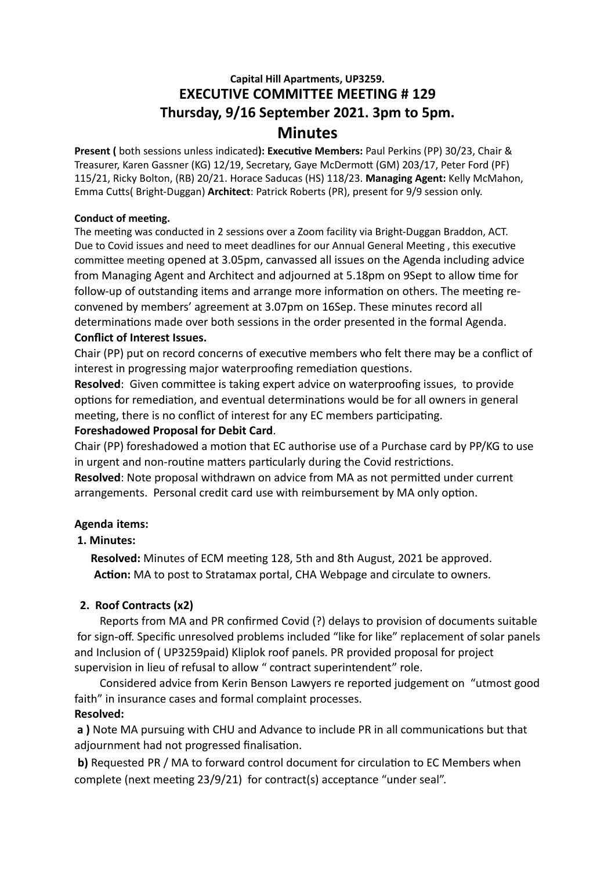# **Capital Hill Apartments, UP3259. EXECUTIVE COMMITTEE MEETING # 129 Thursday, 9/16 September 2021. 3pm to 5pm. Minutes**

**Present (** both sessions unless indicated**): Executive Members:** Paul Perkins (PP) 30/23, Chair & Treasurer, Karen Gassner (KG) 12/19, Secretary, Gaye McDermott (GM) 203/17, Peter Ford (PF) 115/21, Ricky Bolton, (RB) 20/21. Horace Saducas (HS) 118/23. **Managing Agent:** Kelly McMahon, Emma Cutts( Bright-Duggan) **Architect**: Patrick Roberts (PR), present for 9/9 session only.

#### **Conduct of meeting.**

The meeting was conducted in 2 sessions over a Zoom facility via Bright-Duggan Braddon, ACT. Due to Covid issues and need to meet deadlines for our Annual General Meeting , this executive committee meeting opened at 3.05pm, canvassed all issues on the Agenda including advice from Managing Agent and Architect and adjourned at 5.18pm on 9Sept to allow time for follow-up of outstanding items and arrange more information on others. The meeting reconvened by members' agreement at 3.07pm on 16Sep. These minutes record all determinations made over both sessions in the order presented in the formal Agenda.

#### **Conflict of Interest Issues.**

Chair (PP) put on record concerns of executive members who felt there may be a conflict of interest in progressing major waterproofing remediation questions.

**Resolved**: Given committee is taking expert advice on waterproofing issues, to provide options for remediation, and eventual determinations would be for all owners in general meeting, there is no conflict of interest for any EC members participating.

### **Foreshadowed Proposal for Debit Card**.

Chair (PP) foreshadowed a motion that EC authorise use of a Purchase card by PP/KG to use in urgent and non-routine matters particularly during the Covid restrictions.

**Resolved**: Note proposal withdrawn on advice from MA as not permitted under current arrangements. Personal credit card use with reimbursement by MA only option.

### **Agenda items:**

### **1. Minutes:**

 **Resolved:** Minutes of ECM meeting 128, 5th and 8th August, 2021 be approved. **Action:** MA to post to Stratamax portal, CHA Webpage and circulate to owners.

### **2. Roof Contracts (x2)**

Reports from MA and PR confirmed Covid (?) delays to provision of documents suitable for sign-off. Specific unresolved problems included "like for like" replacement of solar panels and Inclusion of ( UP3259paid) Kliplok roof panels. PR provided proposal for project supervision in lieu of refusal to allow " contract superintendent" role.

 Considered advice from Kerin Benson Lawyers re reported judgement on "utmost good faith" in insurance cases and formal complaint processes. **Resolved:**

## **a )** Note MA pursuing with CHU and Advance to include PR in all communications but that adjournment had not progressed finalisation.

**b)** Requested PR / MA to forward control document for circulation to EC Members when complete (next meeting 23/9/21) for contract(s) acceptance "under seal".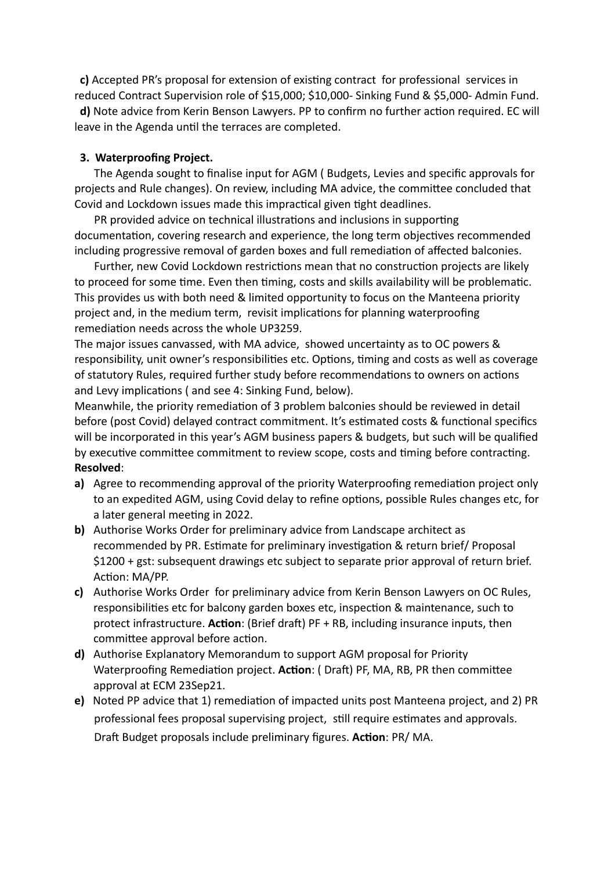**c)** Accepted PR's proposal for extension of existing contract for professional services in reduced Contract Supervision role of \$15,000; \$10,000- Sinking Fund & \$5,000- Admin Fund. **d)** Note advice from Kerin Benson Lawyers. PP to confirm no further action required. EC will leave in the Agenda until the terraces are completed.

#### **3. Waterproofing Project.**

The Agenda sought to finalise input for AGM ( Budgets, Levies and specific approvals for projects and Rule changes). On review, including MA advice, the committee concluded that Covid and Lockdown issues made this impractical given tight deadlines.

 PR provided advice on technical illustrations and inclusions in supporting documentation, covering research and experience, the long term objectives recommended including progressive removal of garden boxes and full remediation of affected balconies.

 Further, new Covid Lockdown restrictions mean that no construction projects are likely to proceed for some time. Even then timing, costs and skills availability will be problematic. This provides us with both need & limited opportunity to focus on the Manteena priority project and, in the medium term, revisit implications for planning waterproofing remediation needs across the whole UP3259.

The major issues canvassed, with MA advice, showed uncertainty as to OC powers & responsibility, unit owner's responsibilities etc. Options, timing and costs as well as coverage of statutory Rules, required further study before recommendations to owners on actions and Levy implications ( and see 4: Sinking Fund, below).

Meanwhile, the priority remediation of 3 problem balconies should be reviewed in detail before (post Covid) delayed contract commitment. It's estimated costs & functional specifics will be incorporated in this year's AGM business papers & budgets, but such will be qualified by executive committee commitment to review scope, costs and timing before contracting. **Resolved**:

- **a)** Agree to recommending approval of the priority Waterproofing remediation project only to an expedited AGM, using Covid delay to refine options, possible Rules changes etc, for a later general meeting in 2022.
- **b)** Authorise Works Order for preliminary advice from Landscape architect as recommended by PR. Estimate for preliminary investigation & return brief/ Proposal \$1200 + gst: subsequent drawings etc subject to separate prior approval of return brief. Action: MA/PP.
- **c)** Authorise Works Order for preliminary advice from Kerin Benson Lawyers on OC Rules, responsibilities etc for balcony garden boxes etc, inspection & maintenance, such to protect infrastructure. **Action**: (Brief draft) PF + RB, including insurance inputs, then committee approval before action.
- **d)** Authorise Explanatory Memorandum to support AGM proposal for Priority Waterproofing Remediation project. **Action**: ( Draft) PF, MA, RB, PR then committee approval at ECM 23Sep21.
- **e)** Noted PP advice that 1) remediation of impacted units post Manteena project, and 2) PR professional fees proposal supervising project, still require estimates and approvals. Draft Budget proposals include preliminary figures. **Action**: PR/ MA.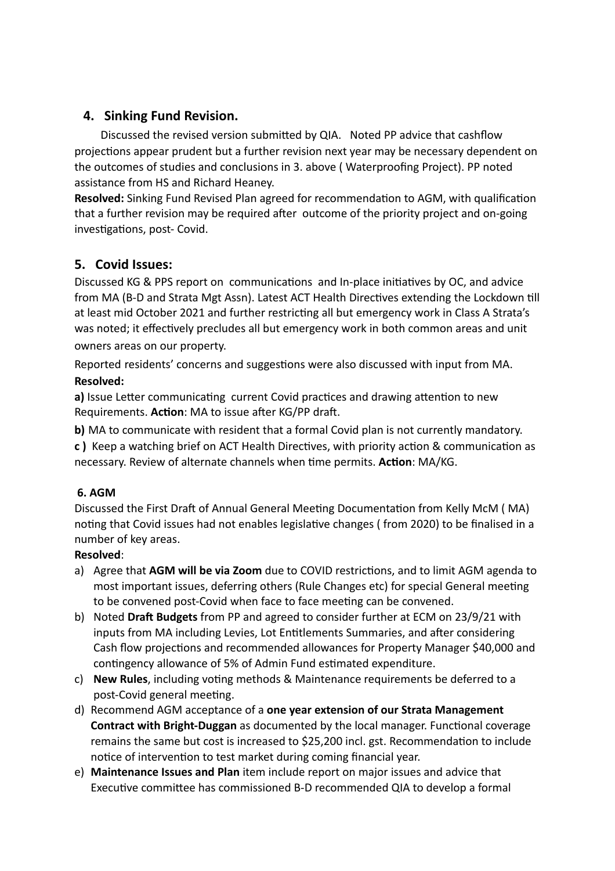# **4. Sinking Fund Revision.**

Discussed the revised version submitted by QIA. Noted PP advice that cashflow projections appear prudent but a further revision next year may be necessary dependent on the outcomes of studies and conclusions in 3. above ( Waterproofing Project). PP noted assistance from HS and Richard Heaney.

**Resolved:** Sinking Fund Revised Plan agreed for recommendation to AGM, with qualification that a further revision may be required after outcome of the priority project and on-going investigations, post- Covid.

# **5. Covid Issues:**

Discussed KG & PPS report on communications and In-place initiatives by OC, and advice from MA (B-D and Strata Mgt Assn). Latest ACT Health Directives extending the Lockdown till at least mid October 2021 and further restricting all but emergency work in Class A Strata's was noted; it effectively precludes all but emergency work in both common areas and unit owners areas on our property.

Reported residents' concerns and suggestions were also discussed with input from MA. **Resolved:**

**a)** Issue Letter communicating current Covid practices and drawing attention to new Requirements. **Action**: MA to issue after KG/PP draft.

**b)** MA to communicate with resident that a formal Covid plan is not currently mandatory.

**c )** Keep a watching brief on ACT Health Directives, with priority action & communication as necessary. Review of alternate channels when time permits. **Action**: MA/KG.

## **6. AGM**

Discussed the First Draft of Annual General Meeting Documentation from Kelly McM ( MA) noting that Covid issues had not enables legislative changes ( from 2020) to be finalised in a number of key areas.

# **Resolved**:

- a) Agree that **AGM will be via Zoom** due to COVID restrictions, and to limit AGM agenda to most important issues, deferring others (Rule Changes etc) for special General meeting to be convened post-Covid when face to face meeting can be convened.
- b) Noted **Draft Budgets** from PP and agreed to consider further at ECM on 23/9/21 with inputs from MA including Levies, Lot Entitlements Summaries, and after considering Cash flow projections and recommended allowances for Property Manager \$40,000 and contingency allowance of 5% of Admin Fund estimated expenditure.
- c) **New Rules**, including voting methods & Maintenance requirements be deferred to a post-Covid general meeting.
- d) Recommend AGM acceptance of a **one year extension of our Strata Management Contract with Bright-Duggan** as documented by the local manager. Functional coverage remains the same but cost is increased to \$25,200 incl. gst. Recommendation to include notice of intervention to test market during coming financial year.
- e) **Maintenance Issues and Plan** item include report on major issues and advice that Executive committee has commissioned B-D recommended QIA to develop a formal